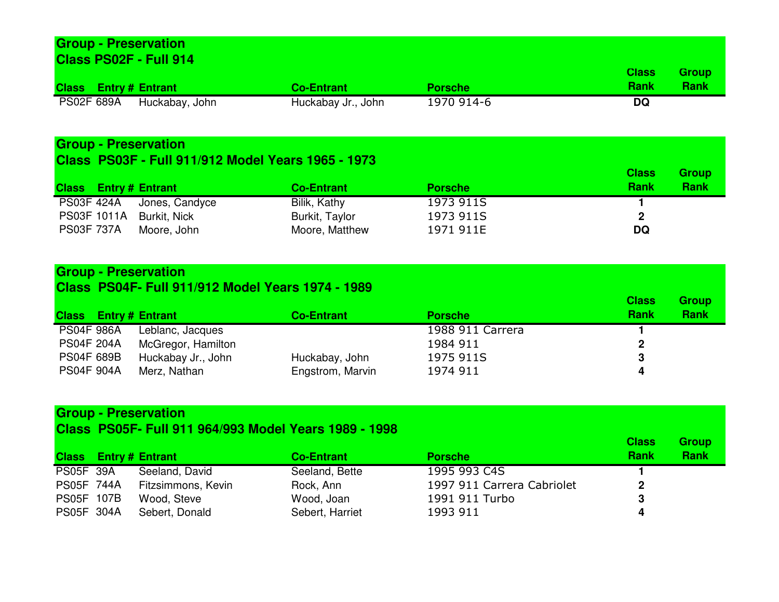#### **Group - Preservation Class PS02F - Full 914Class Entry # Entrant**<br> **PENDE ENTRANGE CO-Entrant**<br> **PENDE ENTRANGE PROPENDE ENCES ENTRANGE PROPENDE ENCES PORTLEMENT PORTLEMENT POINT PENDE ENCES POINT POINT POINT<br>
<b>CO-Entrant** *Co-Entrant Donn* 2970 91 1970 914-6 **Class Rank** $\overline{DQ}$ **Group Rank**PS02F 689A Huckabay, John Huckabay Jr., John 1970 914-6**DQ**

# **Group - Preservation**

### **Class PS03F - Full 911/912 Model Years 1965 - 1973**

| <b>Class</b> Entry # Entrant |                | <b>Co-Entrant</b> | <b>Porsche</b> | <b>Class</b><br><b>Rank</b> | <b>Group</b><br><b>Rank</b> |
|------------------------------|----------------|-------------------|----------------|-----------------------------|-----------------------------|
| <b>PS03F 424A</b>            | Jones, Candyce | Bilik, Kathy      | 1973 911S      |                             |                             |
| <b>PS03F 1011A</b>           | Burkit, Nick   | Burkit, Taylor    | 1973 911S      |                             |                             |
| <b>PS03F 737A</b>            | Moore, John    | Moore, Matthew    | 1971 911E      | DQ                          |                             |

# **Group - Preservation**

#### **Class PS04F- Full 911/912 Model Years 1974 - 1989**

| <b>Class</b> Entry # Entrant |                    | <b>Co-Entrant</b> | <b>Porsche</b>   | <b>Class</b><br><b>Rank</b> | <b>Group</b><br><b>Rank</b> |
|------------------------------|--------------------|-------------------|------------------|-----------------------------|-----------------------------|
| <b>PS04F 986A</b>            | Leblanc, Jacques   |                   | 1988 911 Carrera |                             |                             |
| <b>PS04F 204A</b>            | McGregor, Hamilton |                   | 1984 911         |                             |                             |
| <b>PS04F 689B</b>            | Huckabay Jr., John | Huckabay, John    | 1975 911S        |                             |                             |
| <b>PS04F 904A</b>            | Merz, Nathan       | Engstrom, Marvin  | 1974 911         |                             |                             |

# **Group - Preservation**

#### **Class PS05F- Full 911 964/993 Model Years 1989 - 1998**

|                   | <b>Class</b> Entry # Entrant | <b>Co-Entrant</b> | <b>Porsche</b>             | <b>Class</b><br><b>Rank</b> | <b>Group</b><br><b>Rank</b> |
|-------------------|------------------------------|-------------------|----------------------------|-----------------------------|-----------------------------|
| <b>PS05F 39A</b>  | Seeland, David               | Seeland, Bette    | 1995 993 C4S               |                             |                             |
| <b>PS05F 744A</b> | Fitzsimmons, Kevin           | Rock, Ann         | 1997 911 Carrera Cabriolet |                             |                             |
| <b>PS05F 107B</b> | Wood, Steve                  | Wood, Joan        | 1991 911 Turbo             |                             |                             |
| PS05F 304A        | Sebert, Donald               | Sebert, Harriet   | 1993 911                   |                             |                             |